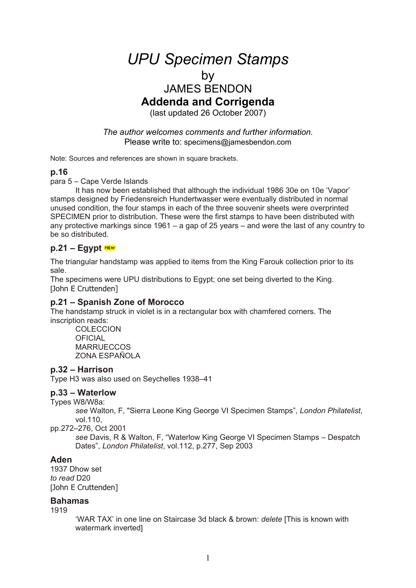# *UPU Specimen Stamps*

# by

# JAMES BENDON **Addenda and Corrigenda**

(last updated 26 October 2007)

*The author welcomes comments and further information.*  Please write to: specimens@jamesbendon.com

Note: Sources and references are shown in square brackets.

#### **p.16**

para 5 – Cape Verde Islands

It has now been established that although the individual 1986 30e on 10e 'Vapor' stamps designed by Friedensreich Hundertwasser were eventually distributed in normal unused condition, the four stamps in each of the three souvenir sheets were overprinted SPECIMEN prior to distribution. These were the first stamps to have been distributed with any protective markings since 1961 – a gap of 25 years – and were the last of any country to be so distributed.

# **p.21 – Egypt**

The triangular handstamp was applied to items from the King Farouk collection prior to its sale.

The specimens were UPU distributions to Egypt; one set being diverted to the King. [John E Cruttenden]

#### **p.21 – Spanish Zone of Morocco**

The handstamp struck in violet is in a rectangular box with chamfered corners. The inscription reads:

**COLECCION OFICIAL MARRUECCOS** ZONA ESPAÑOLA

#### **p.32 – Harrison**

Type H3 was also used on Seychelles 1938–41

### **p.33 – Waterlow**

Types W8/W8a:

*see* Walton, F, "Sierra Leone King George VI Specimen Stamps", *London Philatelist*, vol.110,

pp.272–276, Oct 2001

*see* Davis, R & Walton, F, "Waterlow King George VI Specimen Stamps – Despatch Dates", *London Philatelist*, vol.112, p.277, Sep 2003

#### **Aden**

1937 Dhow set *to read* D20 [John E Cruttenden]

#### **Bahamas**

1919

'WAR TAX' in one line on Staircase 3d black & brown: *delete* [This is known with watermark inverted]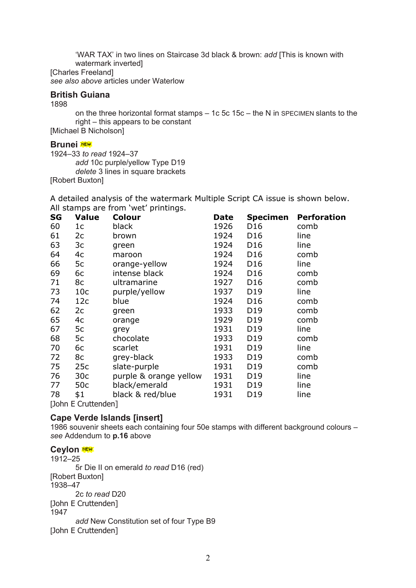'WAR TAX' in two lines on Staircase 3d black & brown: *add* [This is known with watermark inverted] [Charles Freeland] *see also above* articles under Waterlow

#### **British Guiana**

1898

on the three horizontal format stamps – 1c 5c 15c – the N in SPECIMEN slants to the right – this appears to be constant

[Michael B Nicholson]

#### **Brunei**<sup>xew</sup>

1924–33 *to read* 1924–37 *add* 10c purple/yellow Type D19 *delete* 3 lines in square brackets [Robert Buxton]

A detailed analysis of the watermark Multiple Script CA issue is shown below. All stamps are from 'wet' printings.

| SG                                                                                      | <b>Value</b>    | <b>Colour</b>          | <b>Date</b> | <b>Specimen</b> | <b>Perforation</b> |  |
|-----------------------------------------------------------------------------------------|-----------------|------------------------|-------------|-----------------|--------------------|--|
| 60                                                                                      | 1 <sup>c</sup>  | black                  | 1926        | D <sub>16</sub> | comb               |  |
| 61                                                                                      | 2c              | brown                  | 1924        | D <sub>16</sub> | line               |  |
| 63                                                                                      | 3c              | green                  | 1924        | D <sub>16</sub> | line               |  |
| 64                                                                                      | 4c              | maroon                 | 1924        | D <sub>16</sub> | comb               |  |
| 66                                                                                      | 5c              | orange-yellow          | 1924        | D <sub>16</sub> | line               |  |
| 69                                                                                      | 6c              | intense black          | 1924        | D16             | comb               |  |
| 71                                                                                      | 8c              | ultramarine            | 1927        | D <sub>16</sub> | comb               |  |
| 73                                                                                      | 10 <sub>c</sub> | purple/yellow          | 1937        | D19             | line               |  |
| 74                                                                                      | 12c             | blue                   | 1924        | D <sub>16</sub> | comb               |  |
| 62                                                                                      | 2c              | green                  | 1933        | D <sub>19</sub> | comb               |  |
| 65                                                                                      | 4c              | orange                 | 1929        | D <sub>19</sub> | comb               |  |
| 67                                                                                      | 5c              | grey                   | 1931        | D19             | line               |  |
| 68                                                                                      | 5c              | chocolate              | 1933        | D19             | comb               |  |
| 70                                                                                      | 6c              | scarlet                | 1931        | D <sub>19</sub> | line               |  |
| 72                                                                                      | 8c              | grey-black             | 1933        | D <sub>19</sub> | comb               |  |
| 75                                                                                      | 25c             | slate-purple           | 1931        | D <sub>19</sub> | comb               |  |
| 76                                                                                      | 30 <sub>c</sub> | purple & orange yellow | 1931        | D <sub>19</sub> | line               |  |
| 77                                                                                      | 50c             | black/emerald          | 1931        | D19             | line               |  |
| 78                                                                                      | \$1             | black & red/blue       | 1931        | D19             | line               |  |
| $\Gamma$ and $\Gamma$ $\Gamma$ $\Gamma$ $\Gamma$ and $\Gamma$ and $\Gamma$ and $\Gamma$ |                 |                        |             |                 |                    |  |

[John E Cruttenden]

#### **Cape Verde Islands [insert]**

1986 souvenir sheets each containing four 50e stamps with different background colours – *see* Addendum to **p.16** above

#### **Ceylon** NEW

1912–25 5r Die II on emerald *to read* D16 (red) [Robert Buxton] 1938–47 2c *to read* D20 [John E Cruttenden] 1947 *add* New Constitution set of four Type B9 [John E Cruttenden]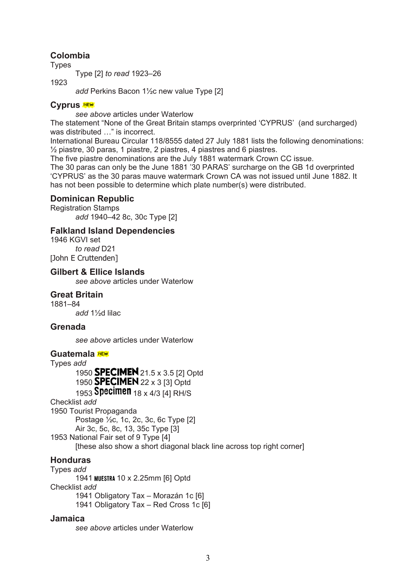# **Colombia**

Types

Type [2] *to read* 1923–26

1923

*add* Perkins Bacon 1½c new value Type [2]

### **Cyprus**

*see above* articles under Waterlow

The statement "None of the Great Britain stamps overprinted 'CYPRUS' (and surcharged) was distributed ..." is incorrect.

International Bureau Circular 118/8555 dated 27 July 1881 lists the following denominations: ½ piastre, 30 paras, 1 piastre, 2 piastres, 4 piastres and 6 piastres.

The five piastre denominations are the July 1881 watermark Crown CC issue.

The 30 paras can only be the June 1881 '30 PARAS' surcharge on the GB 1d overprinted 'CYPRUS' as the 30 paras mauve watermark Crown CA was not issued until June 1882. It has not been possible to determine which plate number(s) were distributed.

# **Dominican Republic**

Registration Stamps *add* 1940–42 8c, 30c Type [2]

#### **Falkland Island Dependencies**

1946 KGVI set *to read* D21 [John E Cruttenden]

#### **Gilbert & Ellice Islands**

*see above* articles under Waterlow

#### **Great Britain**

1881–84

*add* 1½d lilac

#### **Grenada**

*see above* articles under Waterlow

#### **Guatemala**

Types *add* 

1950 **SPECIMEN** 21.5 x 3.5 [2] Optd 1950 **SPECIMEN** 22 x 3 [3] Optd 1953 **Specimen** 18 x 4/3 [4] RH/S

Checklist *add* 

1950 Tourist Propaganda Postage ½c, 1c, 2c, 3c, 6c Type [2] Air 3c, 5c, 8c, 13, 35c Type [3] 1953 National Fair set of 9 Type [4] [these also show a short diagonal black line across top right corner]

# **Honduras**

Types *add*  1941 10 x 2.25mm [6] Optd Checklist *add*  1941 Obligatory Tax – Morazán 1c [6] 1941 Obligatory Tax – Red Cross 1c [6]

#### **Jamaica**

*see above* articles under Waterlow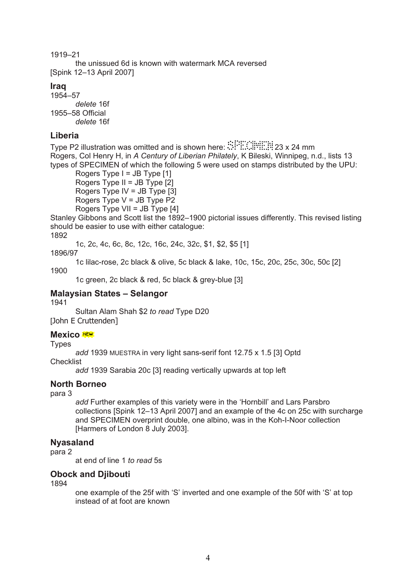1919–21 the unissued 6d is known with watermark MCA reversed [Spink 12–13 April 2007]

# **Iraq**

1954–57 *delete* 16f 1955–58 Official *delete* 16f

# **Liberia**

Type P2 illustration was omitted and is shown here:  $\mathbb{R}^2$ .  $\mathbb{R}^2$ . 23 x 24 mm Rogers, Col Henry H, in *A Century of Liberian Philately*, K Bileski, Winnipeg, n.d., lists 13 types of SPECIMEN of which the following 5 were used on stamps distributed by the UPU:

Rogers Type  $I = JB$  Type  $[1]$ Rogers Type II = JB Type [2] Rogers Type IV = JB Type [3] Rogers Type  $V = JB$  Type  $P2$ Rogers Type VII = JB Type [4]

Stanley Gibbons and Scott list the 1892–1900 pictorial issues differently. This revised listing should be easier to use with either catalogue:

1892

1c, 2c, 4c, 6c, 8c, 12c, 16c, 24c, 32c, \$1, \$2, \$5 [1]

1896/97

1c lilac-rose, 2c black & olive, 5c black & lake, 10c, 15c, 20c, 25c, 30c, 50c [2] 1900

1c green, 2c black & red, 5c black & grey-blue [3]

# **Malaysian States – Selangor**

1941

Sultan Alam Shah \$2 *to read* Type D20 [John E Cruttenden]

#### **Mexico** MEN

Types

*add* 1939 MUESTRA in very light sans-serif font 12.75 x 1.5 [3] Optd **Checklist** 

*add* 1939 Sarabia 20c [3] reading vertically upwards at top left

# **North Borneo**

para 3

*add* Further examples of this variety were in the 'Hornbill' and Lars Parsbro collections [Spink 12–13 April 2007] and an example of the 4c on 25c with surcharge and SPECIMEN overprint double, one albino, was in the Koh-I-Noor collection [Harmers of London 8 July 2003].

# **Nyasaland**

para 2

at end of line 1 *to read* 5s

# **Obock and Djibouti**

1894

one example of the 25f with 'S' inverted and one example of the 50f with 'S' at top instead of at foot are known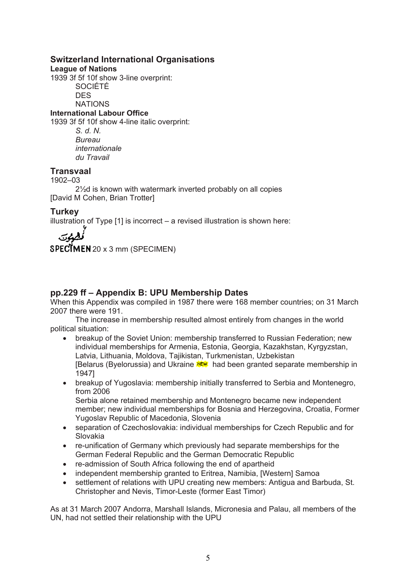#### **Switzerland International Organisations**

**League of Nations** 

1939 3f 5f 10f show 3-line overprint: SOCIÉTÉ **DES NATIONS** 

**International Labour Office** 

1939 3f 5f 10f show 4-line italic overprint:

*S. d. N. Bureau internationale du Travail* 

#### **Transvaal**

1902–03

2½d is known with watermark inverted probably on all copies [David M Cohen, Brian Trotter]

# **Turkey**

illustration of Type [1] is incorrect – a revised illustration is shown here:

 $SPECTMENT 20 x 3 mm (SPECIMENT)$ 

# **pp.229 ff – Appendix B: UPU Membership Dates**

When this Appendix was compiled in 1987 there were 168 member countries; on 31 March 2007 there were 191.

The increase in membership resulted almost entirely from changes in the world political situation:

- breakup of the Soviet Union: membership transferred to Russian Federation; new individual memberships for Armenia, Estonia, Georgia, Kazakhstan, Kyrgyzstan, Latvia, Lithuania, Moldova, Tajikistan, Turkmenistan, Uzbekistan [Belarus (Byelorussia) and Ukraine **NEW** had been granted separate membership in 1947]
- breakup of Yugoslavia: membership initially transferred to Serbia and Montenegro, from 2006

Serbia alone retained membership and Montenegro became new independent member; new individual memberships for Bosnia and Herzegovina, Croatia, Former Yugoslav Republic of Macedonia, Slovenia

- separation of Czechoslovakia: individual memberships for Czech Republic and for Slovakia
- re-unification of Germany which previously had separate memberships for the German Federal Republic and the German Democratic Republic
- re-admission of South Africa following the end of apartheid
- independent membership granted to Eritrea, Namibia, [Western] Samoa
- settlement of relations with UPU creating new members: Antigua and Barbuda, St. Christopher and Nevis, Timor-Leste (former East Timor)

As at 31 March 2007 Andorra, Marshall Islands, Micronesia and Palau, all members of the UN, had not settled their relationship with the UPU